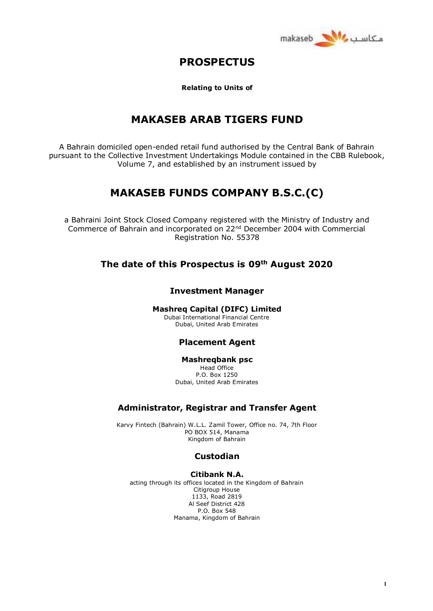

# **PROSPECTUS**

**Relating to Units of**

# **MAKASEB ARAB TIGERS FUND**

A Bahrain domiciled open-ended retail fund authorised by the Central Bank of Bahrain pursuant to the Collective Investment Undertakings Module contained in the CBB Rulebook, Volume 7, and established by an instrument issued by

# **MAKASEB FUNDS COMPANY B.S.C.(C)**

a Bahraini Joint Stock Closed Company registered with the Ministry of Industry and Commerce of Bahrain and incorporated on 22nd December 2004 with Commercial Registration No. 55378

# **The date of this Prospectus is 09th August 2020**

## **Investment Manager**

## **Mashreq Capital (DIFC) Limited**

Dubai International Financial Centre Dubai, United Arab Emirates

## **Placement Agent**

## **Mashreqbank psc**

Head Office P.O. Box 1250 Dubai, United Arab Emirates

## **Administrator, Registrar and Transfer Agent**

Karvy Fintech (Bahrain) W.L.L. Zamil Tower, Office no. 74, 7th Floor PO BOX 514, Manama Kingdom of Bahrain

## **Custodian**

## **Citibank N.A.**

acting through its offices located in the Kingdom of Bahrain Citigroup House 1133, Road 2819 Al Seef District 428 P.O. Box 548 Manama, Kingdom of Bahrain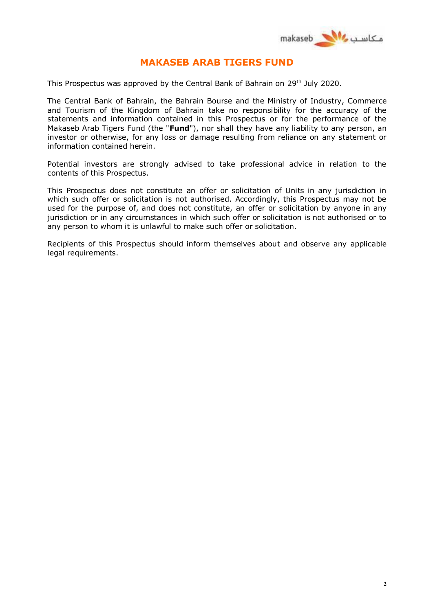

# **MAKASEB ARAB TIGERS FUND**

This Prospectus was approved by the Central Bank of Bahrain on 29<sup>th</sup> July 2020.

The Central Bank of Bahrain, the Bahrain Bourse and the Ministry of Industry, Commerce and Tourism of the Kingdom of Bahrain take no responsibility for the accuracy of the statements and information contained in this Prospectus or for the performance of the Makaseb Arab Tigers Fund (the "**Fund**"), nor shall they have any liability to any person, an investor or otherwise, for any loss or damage resulting from reliance on any statement or information contained herein.

Potential investors are strongly advised to take professional advice in relation to the contents of this Prospectus.

This Prospectus does not constitute an offer or solicitation of Units in any jurisdiction in which such offer or solicitation is not authorised. Accordingly, this Prospectus may not be used for the purpose of, and does not constitute, an offer or solicitation by anyone in any jurisdiction or in any circumstances in which such offer or solicitation is not authorised or to any person to whom it is unlawful to make such offer or solicitation.

Recipients of this Prospectus should inform themselves about and observe any applicable legal requirements.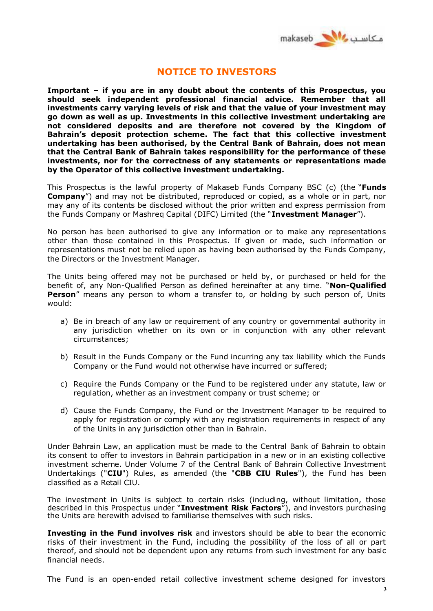

# **NOTICE TO INVESTORS**

**Important – if you are in any doubt about the contents of this Prospectus, you should seek independent professional financial advice. Remember that all investments carry varying levels of risk and that the value of your investment may go down as well as up. Investments in this collective investment undertaking are not considered deposits and are therefore not covered by the Kingdom of Bahrain's deposit protection scheme. The fact that this collective investment undertaking has been authorised, by the Central Bank of Bahrain, does not mean that the Central Bank of Bahrain takes responsibility for the performance of these investments, nor for the correctness of any statements or representations made by the Operator of this collective investment undertaking.**

This Prospectus is the lawful property of Makaseb Funds Company BSC (c) (the "**Funds Company**") and may not be distributed, reproduced or copied, as a whole or in part, nor may any of its contents be disclosed without the prior written and express permission from the Funds Company or Mashreq Capital (DIFC) Limited (the "**Investment Manager**").

No person has been authorised to give any information or to make any representations other than those contained in this Prospectus. If given or made, such information or representations must not be relied upon as having been authorised by the Funds Company, the Directors or the Investment Manager.

The Units being offered may not be purchased or held by, or purchased or held for the benefit of, any Non-Qualified Person as defined hereinafter at any time. "**Non-Qualified Person**" means any person to whom a transfer to, or holding by such person of, Units would:

- a) Be in breach of any law or requirement of any country or governmental authority in any jurisdiction whether on its own or in conjunction with any other relevant circumstances;
- b) Result in the Funds Company or the Fund incurring any tax liability which the Funds Company or the Fund would not otherwise have incurred or suffered;
- c) Require the Funds Company or the Fund to be registered under any statute, law or regulation, whether as an investment company or trust scheme; or
- d) Cause the Funds Company, the Fund or the Investment Manager to be required to apply for registration or comply with any registration requirements in respect of any of the Units in any jurisdiction other than in Bahrain.

Under Bahrain Law, an application must be made to the Central Bank of Bahrain to obtain its consent to offer to investors in Bahrain participation in a new or in an existing collective investment scheme. Under Volume 7 of the Central Bank of Bahrain Collective Investment Undertakings ("**CIU**") Rules, as amended (the "**CBB CIU Rules**"), the Fund has been classified as a Retail CIU.

The investment in Units is subject to certain risks (including, without limitation, those described in this Prospectus under "**Investment Risk Factors**"), and investors purchasing the Units are herewith advised to familiarise themselves with such risks.

**Investing in the Fund involves risk** and investors should be able to bear the economic risks of their investment in the Fund, including the possibility of the loss of all or part thereof, and should not be dependent upon any returns from such investment for any basic financial needs.

The Fund is an open-ended retail collective investment scheme designed for investors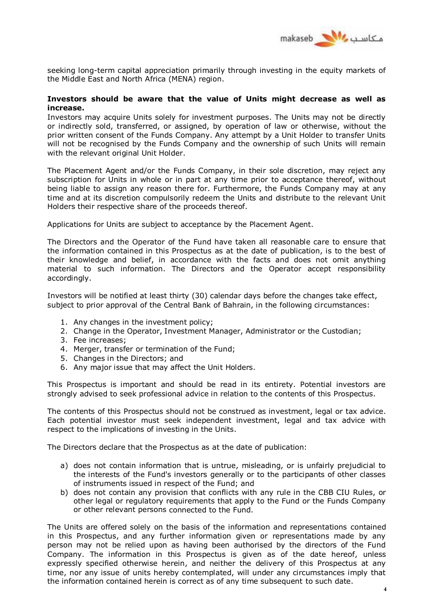

seeking long-term capital appreciation primarily through investing in the equity markets of the Middle East and North Africa (MENA) region.

## **Investors should be aware that the value of Units might decrease as well as increase.**

Investors may acquire Units solely for investment purposes. The Units may not be directly or indirectly sold, transferred, or assigned, by operation of law or otherwise, without the prior written consent of the Funds Company. Any attempt by a Unit Holder to transfer Units will not be recognised by the Funds Company and the ownership of such Units will remain with the relevant original Unit Holder.

The Placement Agent and/or the Funds Company, in their sole discretion, may reject any subscription for Units in whole or in part at any time prior to acceptance thereof, without being liable to assign any reason there for. Furthermore, the Funds Company may at any time and at its discretion compulsorily redeem the Units and distribute to the relevant Unit Holders their respective share of the proceeds thereof.

Applications for Units are subject to acceptance by the Placement Agent.

The Directors and the Operator of the Fund have taken all reasonable care to ensure that the information contained in this Prospectus as at the date of publication, is to the best of their knowledge and belief, in accordance with the facts and does not omit anything material to such information. The Directors and the Operator accept responsibility accordingly.

Investors will be notified at least thirty (30) calendar days before the changes take effect, subject to prior approval of the Central Bank of Bahrain, in the following circumstances:

- 1. Any changes in the investment policy;
- 2. Change in the Operator, Investment Manager, Administrator or the Custodian;
- 3. Fee increases;
- 4. Merger, transfer or termination of the Fund;
- 5. Changes in the Directors; and
- 6. Any major issue that may affect the Unit Holders.

This Prospectus is important and should be read in its entirety. Potential investors are strongly advised to seek professional advice in relation to the contents of this Prospectus.

The contents of this Prospectus should not be construed as investment, legal or tax advice. Each potential investor must seek independent investment, legal and tax advice with respect to the implications of investing in the Units.

The Directors declare that the Prospectus as at the date of publication:

- a) does not contain information that is untrue, misleading, or is unfairly prejudicial to the interests of the Fund's investors generally or to the participants of other classes of instruments issued in respect of the Fund; and
- b) does not contain any provision that conflicts with any rule in the CBB CIU Rules, or other legal or regulatory requirements that apply to the Fund or the Funds Company or other relevant persons connected to the Fund.

The Units are offered solely on the basis of the information and representations contained in this Prospectus, and any further information given or representations made by any person may not be relied upon as having been authorised by the directors of the Fund Company. The information in this Prospectus is given as of the date hereof, unless expressly specified otherwise herein, and neither the delivery of this Prospectus at any time, nor any issue of units hereby contemplated, will under any circumstances imply that the information contained herein is correct as of any time subsequent to such date.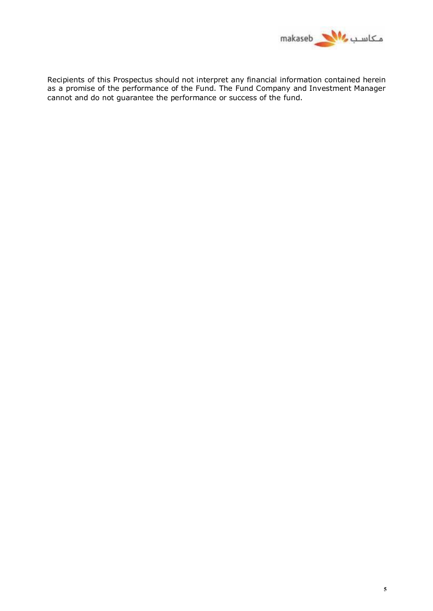

Recipients of this Prospectus should not interpret any financial information contained herein as a promise of the performance of the Fund. The Fund Company and Investment Manager cannot and do not guarantee the performance or success of the fund.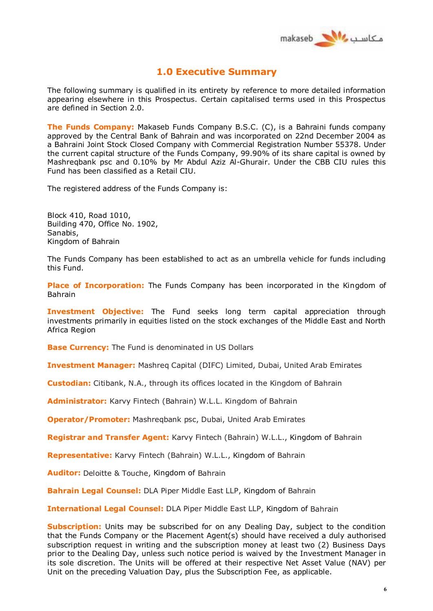

# **1.0 Executive Summary**

The following summary is qualified in its entirety by reference to more detailed information appearing elsewhere in this Prospectus. Certain capitalised terms used in this Prospectus are defined in Section 2.0.

**The Funds Company:** Makaseb Funds Company B.S.C. (C), is a Bahraini funds company approved by the Central Bank of Bahrain and was incorporated on 22nd December 2004 as a Bahraini Joint Stock Closed Company with Commercial Registration Number 55378. Under the current capital structure of the Funds Company, 99.90% of its share capital is owned by Mashreqbank psc and 0.10% by Mr Abdul Aziz Al-Ghurair. Under the CBB CIU rules this Fund has been classified as a Retail CIU.

The registered address of the Funds Company is:

Block 410, Road 1010, Building 470, Office No. 1902, Sanabis, Kingdom of Bahrain

The Funds Company has been established to act as an umbrella vehicle for funds including this Fund.

**Place of Incorporation:** The Funds Company has been incorporated in the Kingdom of Bahrain

**Investment Objective:** The Fund seeks long term capital appreciation through investments primarily in equities listed on the stock exchanges of the Middle East and North Africa Region

**Base Currency:** The Fund is denominated in US Dollars

**Investment Manager:** Mashreq Capital (DIFC) Limited, Dubai, United Arab Emirates

**Custodian:** Citibank, N.A., through its offices located in the Kingdom of Bahrain

**Administrator:** Karvy Fintech (Bahrain) W.L.L. Kingdom of Bahrain

**Operator/Promoter:** Mashreqbank psc, Dubai, United Arab Emirates

**Registrar and Transfer Agent:** Karvy Fintech (Bahrain) W.L.L., Kingdom of Bahrain

**Representative:** Karvy Fintech (Bahrain) W.L.L., Kingdom of Bahrain

**Auditor:** Deloitte & Touche, Kingdom of Bahrain

**Bahrain Legal Counsel:** DLA Piper Middle East LLP, Kingdom of Bahrain

**International Legal Counsel:** DLA Piper Middle East LLP, Kingdom of Bahrain

**Subscription:** Units may be subscribed for on any Dealing Day, subject to the condition that the Funds Company or the Placement Agent(s) should have received a duly authorised subscription request in writing and the subscription money at least two (2) Business Days prior to the Dealing Day, unless such notice period is waived by the Investment Manager in its sole discretion. The Units will be offered at their respective Net Asset Value (NAV) per Unit on the preceding Valuation Day, plus the Subscription Fee, as applicable.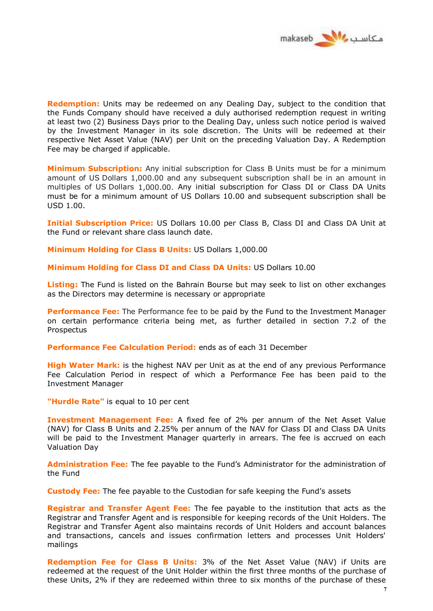

**Redemption:** Units may be redeemed on any Dealing Day, subject to the condition that the Funds Company should have received a duly authorised redemption request in writing at least two (2) Business Days prior to the Dealing Day, unless such notice period is waived by the Investment Manager in its sole discretion. The Units will be redeemed at their respective Net Asset Value (NAV) per Unit on the preceding Valuation Day. A Redemption Fee may be charged if applicable.

**Minimum Subscription:** Any initial subscription for Class B Units must be for a minimum amount of US Dollars 1,000.00 and any subsequent subscription shall be in an amount in multiples of US Dollars 1,000.00. Any initial subscription for Class DI or Class DA Units must be for a minimum amount of US Dollars 10.00 and subsequent subscription shall be USD 1.00.

**Initial Subscription Price:** US Dollars 10.00 per Class B, Class DI and Class DA Unit at the Fund or relevant share class launch date.

**Minimum Holding for Class B Units:** US Dollars 1,000.00

**Minimum Holding for Class DI and Class DA Units:** US Dollars 10.00

**Listing:** The Fund is listed on the Bahrain Bourse but may seek to list on other exchanges as the Directors may determine is necessary or appropriate

**Performance Fee:** The Performance fee to be paid by the Fund to the Investment Manager on certain performance criteria being met, as further detailed in section 7.2 of the Prospectus

**Performance Fee Calculation Period:** ends as of each 31 December

**High Water Mark:** is the highest NAV per Unit as at the end of any previous Performance Fee Calculation Period in respect of which a Performance Fee has been paid to the Investment Manager

**"Hurdle Rate"** is equal to 10 per cent

**Investment Management Fee:** A fixed fee of 2% per annum of the Net Asset Value (NAV) for Class B Units and 2.25% per annum of the NAV for Class DI and Class DA Units will be paid to the Investment Manager quarterly in arrears. The fee is accrued on each Valuation Day

**Administration Fee:** The fee payable to the Fund's Administrator for the administration of the Fund

**Custody Fee:** The fee payable to the Custodian for safe keeping the Fund's assets

**Registrar and Transfer Agent Fee:** The fee payable to the institution that acts as the Registrar and Transfer Agent and is responsible for keeping records of the Unit Holders. The Registrar and Transfer Agent also maintains records of Unit Holders and account balances and transactions, cancels and issues confirmation letters and processes Unit Holders' mailings

**Redemption Fee for Class B Units:** 3% of the Net Asset Value (NAV) if Units are redeemed at the request of the Unit Holder within the first three months of the purchase of these Units, 2% if they are redeemed within three to six months of the purchase of these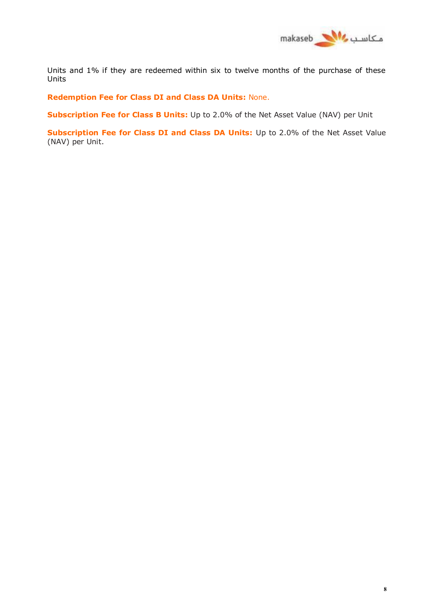

Units and 1% if they are redeemed within six to twelve months of the purchase of these Units

**Redemption Fee for Class DI and Class DA Units:** None.

**Subscription Fee for Class B Units:** Up to 2.0% of the Net Asset Value (NAV) per Unit

**Subscription Fee for Class DI and Class DA Units:** Up to 2.0% of the Net Asset Value (NAV) per Unit.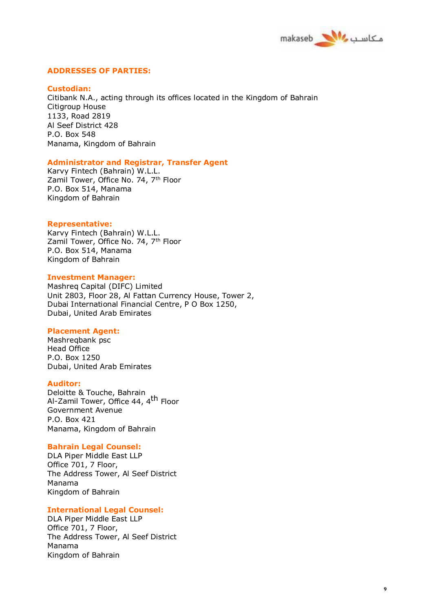

## **ADDRESSES OF PARTIES:**

#### **Custodian:**

Citibank N.A., acting through its offices located in the Kingdom of Bahrain Citigroup House 1133, Road 2819 Al Seef District 428 P.O. Box 548 Manama, Kingdom of Bahrain

#### **Administrator and Registrar, Transfer Agent**

Karvy Fintech (Bahrain) W.L.L. Zamil Tower, Office No. 74, 7<sup>th</sup> Floor P.O. Box 514, Manama Kingdom of Bahrain

#### **Representative:**

Karvy Fintech (Bahrain) W.L.L. Zamil Tower, Office No. 74, 7th Floor P.O. Box 514, Manama Kingdom of Bahrain

## **Investment Manager:**

Mashreq Capital (DIFC) Limited Unit 2803, Floor 28, Al Fattan Currency House, Tower 2, Dubai International Financial Centre, P O Box 1250, Dubai, United Arab Emirates

#### **Placement Agent:**

Mashreqbank psc Head Office P.O. Box 1250 Dubai, United Arab Emirates

#### **Auditor:**

Deloitte & Touche, Bahrain Al-Zamil Tower, Office 44, 4th Floor Government Avenue P.O. Box 421 Manama, Kingdom of Bahrain

#### **Bahrain Legal Counsel:**

DLA Piper Middle East LLP Office 701, 7 Floor, The Address Tower, Al Seef District Manama Kingdom of Bahrain

#### **International Legal Counsel:**

DLA Piper Middle East LLP Office 701, 7 Floor, The Address Tower, Al Seef District Manama Kingdom of Bahrain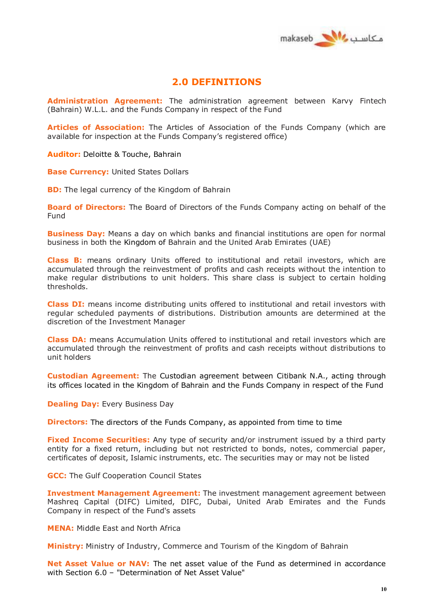

## **2.0 DEFINITIONS**

**Administration Agreement:** The administration agreement between Karvy Fintech (Bahrain) W.L.L. and the Funds Company in respect of the Fund

**Articles of Association:** The Articles of Association of the Funds Company (which are available for inspection at the Funds Company's registered office)

**Auditor:** Deloitte & Touche, Bahrain

**Base Currency:** United States Dollars

**BD:** The legal currency of the Kingdom of Bahrain

**Board of Directors:** The Board of Directors of the Funds Company acting on behalf of the Fund

**Business Day:** Means a day on which banks and financial institutions are open for normal business in both the Kingdom of Bahrain and the United Arab Emirates (UAE)

**Class B:** means ordinary Units offered to institutional and retail investors, which are accumulated through the reinvestment of profits and cash receipts without the intention to make regular distributions to unit holders. This share class is subject to certain holding thresholds.

**Class DI:** means income distributing units offered to institutional and retail investors with regular scheduled payments of distributions. Distribution amounts are determined at the discretion of the Investment Manager

**Class DA:** means Accumulation Units offered to institutional and retail investors which are accumulated through the reinvestment of profits and cash receipts without distributions to unit holders

**Custodian Agreement:** The Custodian agreement between Citibank N.A., acting through its offices located in the Kingdom of Bahrain and the Funds Company in respect of the Fund

**Dealing Day: Every Business Day** 

**Directors:** The directors of the Funds Company, as appointed from time to time

**Fixed Income Securities:** Any type of security and/or instrument issued by a third party entity for a fixed return, including but not restricted to bonds, notes, commercial paper, certificates of deposit, Islamic instruments, etc. The securities may or may not be listed

**GCC:** The Gulf Cooperation Council States

**Investment Management Agreement:** The investment management agreement between Mashreq Capital (DIFC) Limited, DIFC, Dubai, United Arab Emirates and the Funds Company in respect of the Fund's assets

**MENA:** Middle East and North Africa

**Ministry:** Ministry of Industry, Commerce and Tourism of the Kingdom of Bahrain

**Net Asset Value or NAV:** The net asset value of the Fund as determined in accordance with Section 6.0 – "Determination of Net Asset Value"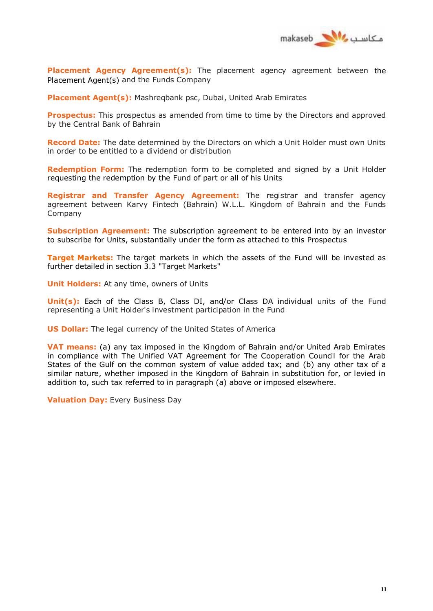

**Placement Agency Agreement(s):** The placement agency agreement between the Placement Agent(s) and the Funds Company

**Placement Agent(s):** Mashreqbank psc, Dubai, United Arab Emirates

**Prospectus:** This prospectus as amended from time to time by the Directors and approved by the Central Bank of Bahrain

**Record Date:** The date determined by the Directors on which a Unit Holder must own Units in order to be entitled to a dividend or distribution

**Redemption Form:** The redemption form to be completed and signed by a Unit Holder requesting the redemption by the Fund of part or all of his Units

**Registrar and Transfer Agency Agreement:** The registrar and transfer agency agreement between Karvy Fintech (Bahrain) W.L.L. Kingdom of Bahrain and the Funds Company

**Subscription Agreement:** The subscription agreement to be entered into by an investor to subscribe for Units, substantially under the form as attached to this Prospectus

**Target Markets:** The target markets in which the assets of the Fund will be invested as further detailed in section 3.3 "Target Markets"

**Unit Holders:** At any time, owners of Units

**Unit(s):** Each of the Class B, Class DI, and/or Class DA individual units of the Fund representing a Unit Holder's investment participation in the Fund

**US Dollar:** The legal currency of the United States of America

**VAT means:** (a) any tax imposed in the Kingdom of Bahrain and/or United Arab Emirates in compliance with The Unified VAT Agreement for The Cooperation Council for the Arab States of the Gulf on the common system of value added tax; and (b) any other tax of a similar nature, whether imposed in the Kingdom of Bahrain in substitution for, or levied in addition to, such tax referred to in paragraph (a) above or imposed elsewhere.

**Valuation Day:** Every Business Day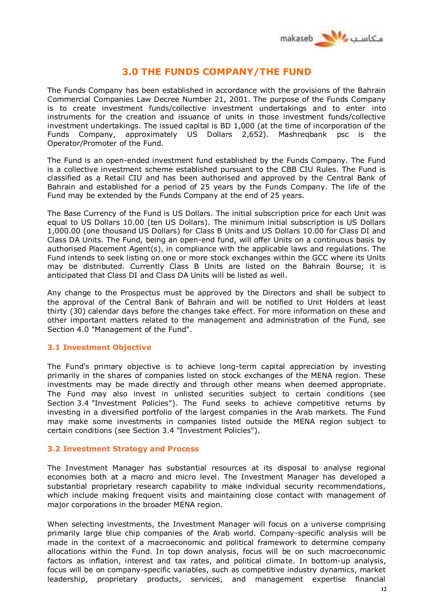

# **3.0 THE FUNDS COMPANY/THE FUND**

The Funds Company has been established in accordance with the provisions of the Bahrain Commercial Companies Law Decree Number 21, 2001. The purpose of the Funds Company is to create investment funds/collective investment undertakings and to enter into instruments for the creation and issuance of units in those investment funds/collective investment undertakings. The issued capital is BD 1,000 (at the time of incorporation of the Funds Company, approximately US Dollars 2,652). Mashreqbank psc is the Operator/Promoter of the Fund.

The Fund is an open-ended investment fund established by the Funds Company. The Fund is a collective investment scheme established pursuant to the CBB CIU Rules. The Fund is classified as a Retail CIU and has been authorised and approved by the Central Bank of Bahrain and established for a period of 25 years by the Funds Company. The life of the Fund may be extended by the Funds Company at the end of 25 years.

The Base Currency of the Fund is US Dollars. The initial subscription price for each Unit was equal to US Dollars 10.00 (ten US Dollars). The minimum initial subscription is US Dollars 1,000.00 (one thousand US Dollars) for Class B Units and US Dollars 10.00 for Class DI and Class DA Units. The Fund, being an open-end fund, will offer Units on a continuous basis by authorised Placement Agent(s), in compliance with the applicable laws and regulations. The Fund intends to seek listing on one or more stock exchanges within the GCC where its Units may be distributed. Currently Class B Units are listed on the Bahrain Bourse; it is anticipated that Class DI and Class DA Units will be listed as well.

Any change to the Prospectus must be approved by the Directors and shall be subject to the approval of the Central Bank of Bahrain and will be notified to Unit Holders at least thirty (30) calendar days before the changes take effect. For more information on these and other important matters related to the management and administration of the Fund, see Section 4.0 "Management of the Fund".

## **3.1 Investment Objective**

The Fund's primary objective is to achieve long-term capital appreciation by investing primarily in the shares of companies listed on stock exchanges of the MENA region. These investments may be made directly and through other means when deemed appropriate. The Fund may also invest in unlisted securities subject to certain conditions (see Section 3.4 "Investment Policies"). The Fund seeks to achieve competitive returns by investing in a diversified portfolio of the largest companies in the Arab markets. The Fund may make some investments in companies listed outside the MENA region subject to certain conditions (see Section 3.4 "Investment Policies").

## **3.2 Investment Strategy and Process**

The Investment Manager has substantial resources at its disposal to analyse regional economies both at a macro and micro level. The Investment Manager has developed a substantial proprietary research capability to make individual security recommendations, which include making frequent visits and maintaining close contact with management of major corporations in the broader MENA region.

When selecting investments, the Investment Manager will focus on a universe comprising primarily large blue chip companies of the Arab world. Company-specific analysis will be made in the context of a macroeconomic and political framework to determine company allocations within the Fund. In top down analysis, focus will be on such macroeconomic factors as inflation, interest and tax rates, and political climate. In bottom-up analysis, focus will be on company-specific variables, such as competitive industry dynamics, market leadership, proprietary products, services, and management expertise financial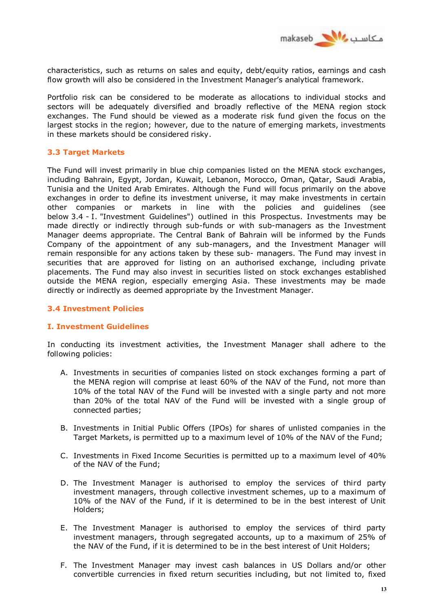

characteristics, such as returns on sales and equity, debt/equity ratios, earnings and cash flow growth will also be considered in the Investment Manager's analytical framework.

Portfolio risk can be considered to be moderate as allocations to individual stocks and sectors will be adequately diversified and broadly reflective of the MENA region stock exchanges. The Fund should be viewed as a moderate risk fund given the focus on the largest stocks in the region; however, due to the nature of emerging markets, investments in these markets should be considered risky.

## **3.3 Target Markets**

The Fund will invest primarily in blue chip companies listed on the MENA stock exchanges, including Bahrain, Egypt, Jordan, Kuwait, Lebanon, Morocco, Oman, Qatar, Saudi Arabia, Tunisia and the United Arab Emirates. Although the Fund will focus primarily on the above exchanges in order to define its investment universe, it may make investments in certain other companies or markets in line with the policies and guidelines (see below 3.4 - I. "Investment Guidelines") outlined in this Prospectus. Investments may be made directly or indirectly through sub-funds or with sub-managers as the Investment Manager deems appropriate. The Central Bank of Bahrain will be informed by the Funds Company of the appointment of any sub-managers, and the Investment Manager will remain responsible for any actions taken by these sub- managers. The Fund may invest in securities that are approved for listing on an authorised exchange, including private placements. The Fund may also invest in securities listed on stock exchanges established outside the MENA region, especially emerging Asia. These investments may be made directly or indirectly as deemed appropriate by the Investment Manager.

## **3.4 Investment Policies**

## **I. Investment Guidelines**

In conducting its investment activities, the Investment Manager shall adhere to the following policies:

- A. Investments in securities of companies listed on stock exchanges forming a part of the MENA region will comprise at least 60% of the NAV of the Fund, not more than 10% of the total NAV of the Fund will be invested with a single party and not more than 20% of the total NAV of the Fund will be invested with a single group of connected parties;
- B. Investments in Initial Public Offers (IPOs) for shares of unlisted companies in the Target Markets, is permitted up to a maximum level of 10% of the NAV of the Fund;
- C. Investments in Fixed Income Securities is permitted up to a maximum level of 40% of the NAV of the Fund;
- D. The Investment Manager is authorised to employ the services of third party investment managers, through collective investment schemes, up to a maximum of 10% of the NAV of the Fund, if it is determined to be in the best interest of Unit Holders;
- E. The Investment Manager is authorised to employ the services of third party investment managers, through segregated accounts, up to a maximum of 25% of the NAV of the Fund, if it is determined to be in the best interest of Unit Holders;
- F. The Investment Manager may invest cash balances in US Dollars and/or other convertible currencies in fixed return securities including, but not limited to, fixed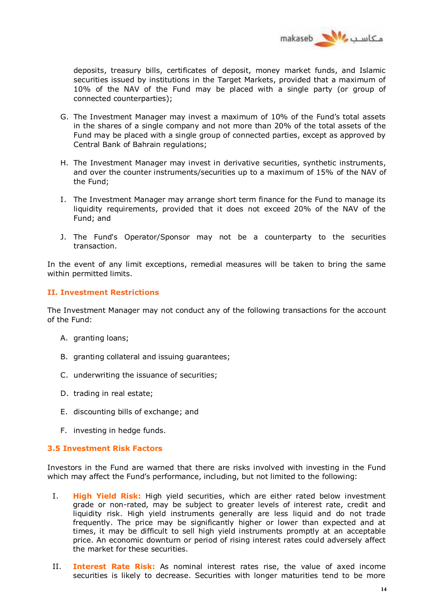

deposits, treasury bills, certificates of deposit, money market funds, and Islamic securities issued by institutions in the Target Markets, provided that a maximum of 10% of the NAV of the Fund may be placed with a single party (or group of connected counterparties);

- G. The Investment Manager may invest a maximum of 10% of the Fund's total assets in the shares of a single company and not more than 20% of the total assets of the Fund may be placed with a single group of connected parties, except as approved by Central Bank of Bahrain regulations;
- H. The Investment Manager may invest in derivative securities, synthetic instruments, and over the counter instruments/securities up to a maximum of 15% of the NAV of the Fund;
- I. The Investment Manager may arrange short term finance for the Fund to manage its liquidity requirements, provided that it does not exceed 20% of the NAV of the Fund; and
- J. The Fund's Operator/Sponsor may not be a counterparty to the securities transaction.

In the event of any limit exceptions, remedial measures will be taken to bring the same within permitted limits.

## **II. Investment Restrictions**

The Investment Manager may not conduct any of the following transactions for the account of the Fund:

- A. granting loans;
- B. granting collateral and issuing guarantees;
- C. underwriting the issuance of securities;
- D. trading in real estate;
- E. discounting bills of exchange; and
- F. investing in hedge funds.

## **3.5 Investment Risk Factors**

Investors in the Fund are warned that there are risks involved with investing in the Fund which may affect the Fund's performance, including, but not limited to the following:

- I. **High Yield Risk:** High yield securities, which are either rated below investment grade or non-rated, may be subject to greater levels of interest rate, credit and liquidity risk. High yield instruments generally are less liquid and do not trade frequently. The price may be significantly higher or lower than expected and at times, it may be difficult to sell high yield instruments promptly at an acceptable price. An economic downturn or period of rising interest rates could adversely affect the market for these securities.
- II. **Interest Rate Risk:** As nominal interest rates rise, the value of axed income securities is likely to decrease. Securities with longer maturities tend to be more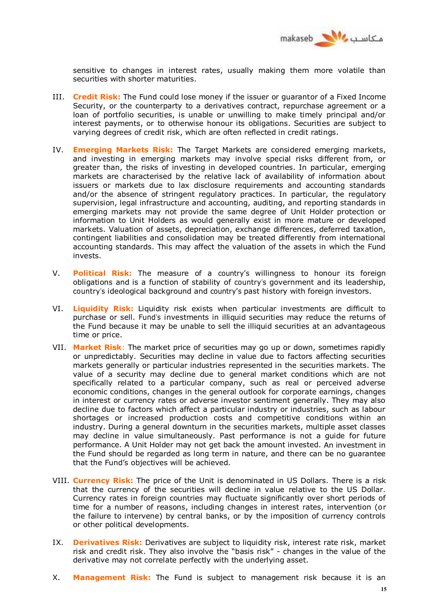

sensitive to changes in interest rates, usually making them more volatile than securities with shorter maturities.

- III. **Credit Risk:** The Fund could lose money if the issuer or guarantor of a Fixed Income Security, or the counterparty to a derivatives contract, repurchase agreement or a loan of portfolio securities, is unable or unwilling to make timely principal and/or interest payments, or to otherwise honour its obligations. Securities are subject to varying degrees of credit risk, which are often reflected in credit ratings.
- IV. **Emerging Markets Risk:** The Target Markets are considered emerging markets, and investing in emerging markets may involve special risks different from, or greater than, the risks of investing in developed countries. In particular, emerging markets are characterised by the relative lack of availability of information about issuers or markets due to lax disclosure requirements and accounting standards and/or the absence of stringent regulatory practices. In particular, the regulatory supervision, legal infrastructure and accounting, auditing, and reporting standards in emerging markets may not provide the same degree of Unit Holder protection or information to Unit Holders as would generally exist in more mature or developed markets. Valuation of assets, depreciation, exchange differences, deferred taxation, contingent liabilities and consolidation may be treated differently from international accounting standards. This may affect the valuation of the assets in which the Fund invests.
- V. **Political Risk:** The measure of a country's willingness to honour its foreign obligations and is a function of stability of country's government and its leadership, country's ideological background and country's past history with foreign investors.
- VI. **Liquidity Risk:** Liquidity risk exists when particular investments are difficult to purchase or sell. Fund's investments in illiquid securities may reduce the returns of the Fund because it may be unable to sell the illiquid securities at an advantageous time or price.
- VII. **Market Risk**: The market price of securities may go up or down, sometimes rapidly or unpredictably. Securities may decline in value due to factors affecting securities markets generally or particular industries represented in the securities markets. The value of a security may decline due to general market conditions which are not specifically related to a particular company, such as real or perceived adverse economic conditions, changes in the general outlook for corporate earnings, changes in interest or currency rates or adverse investor sentiment generally. They may also decline due to factors which affect a particular industry or industries, such as labour shortages or increased production costs and competitive conditions within an industry. During a general downturn in the securities markets, multiple asset classes may decline in value simultaneously. Past performance is not a guide for future performance. A Unit Holder may not get back the amount invested. An investment in the Fund should be regarded as long term in nature, and there can be no guarantee that the Fund's objectives will be achieved.
- VIII. **Currency Risk:** The price of the Unit is denominated in US Dollars. There is a risk that the currency of the securities will decline in value relative to the US Dollar. Currency rates in foreign countries may fluctuate significantly over short periods of time for a number of reasons, including changes in interest rates, intervention (or the failure to intervene) by central banks, or by the imposition of currency controls or other political developments.
- IX. **Derivatives Risk:** Derivatives are subject to liquidity risk, interest rate risk, market risk and credit risk. They also involve the "basis risk" - changes in the value of the derivative may not correlate perfectly with the underlying asset.
- X. **Management Risk:** The Fund is subject to management risk because it is an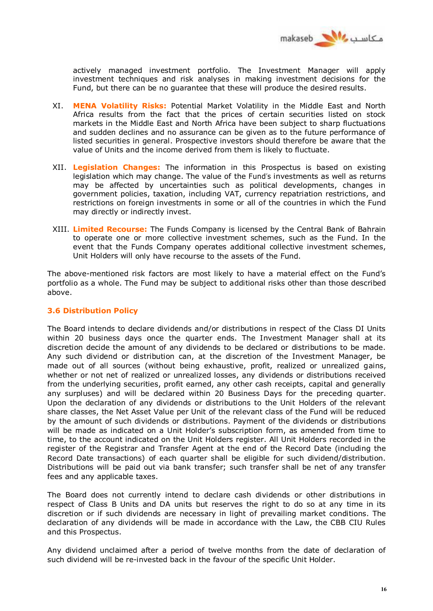

actively managed investment portfolio. The Investment Manager will apply investment techniques and risk analyses in making investment decisions for the Fund, but there can be no guarantee that these will produce the desired results.

- XI. **MENA Volatility Risks:** Potential Market Volatility in the Middle East and North Africa results from the fact that the prices of certain securities listed on stock markets in the Middle East and North Africa have been subject to sharp fluctuations and sudden declines and no assurance can be given as to the future performance of listed securities in general. Prospective investors should therefore be aware that the value of Units and the income derived from them is likely to fluctuate.
- XII. **Legislation Changes:** The information in this Prospectus is based on existing legislation which may change. The value of the Fund's investments as well as returns may be affected by uncertainties such as political developments, changes in government policies, taxation, including VAT, currency repatriation restrictions, and restrictions on foreign investments in some or all of the countries in which the Fund may directly or indirectly invest.
- XIII. **Limited Recourse:** The Funds Company is licensed by the Central Bank of Bahrain to operate one or more collective investment schemes, such as the Fund. In the event that the Funds Company operates additional collective investment schemes, Unit Holders will only have recourse to the assets of the Fund.

The above-mentioned risk factors are most likely to have a material effect on the Fund's portfolio as a whole. The Fund may be subject to additional risks other than those described above.

## **3.6 Distribution Policy**

The Board intends to declare dividends and/or distributions in respect of the Class DI Units within 20 business days once the quarter ends. The Investment Manager shall at its discretion decide the amount of any dividends to be declared or distributions to be made. Any such dividend or distribution can, at the discretion of the Investment Manager, be made out of all sources (without being exhaustive, profit, realized or unrealized gains, whether or not net of realized or unrealized losses, any dividends or distributions received from the underlying securities, profit earned, any other cash receipts, capital and generally any surpluses) and will be declared within 20 Business Days for the preceding quarter. Upon the declaration of any dividends or distributions to the Unit Holders of the relevant share classes, the Net Asset Value per Unit of the relevant class of the Fund will be reduced by the amount of such dividends or distributions. Payment of the dividends or distributions will be made as indicated on a Unit Holder's subscription form, as amended from time to time, to the account indicated on the Unit Holders register. All Unit Holders recorded in the register of the Registrar and Transfer Agent at the end of the Record Date (including the Record Date transactions) of each quarter shall be eligible for such dividend/distribution. Distributions will be paid out via bank transfer; such transfer shall be net of any transfer fees and any applicable taxes.

The Board does not currently intend to declare cash dividends or other distributions in respect of Class B Units and DA units but reserves the right to do so at any time in its discretion or if such dividends are necessary in light of prevailing market conditions. The declaration of any dividends will be made in accordance with the Law, the CBB CIU Rules and this Prospectus.

Any dividend unclaimed after a period of twelve months from the date of declaration of such dividend will be re-invested back in the favour of the specific Unit Holder.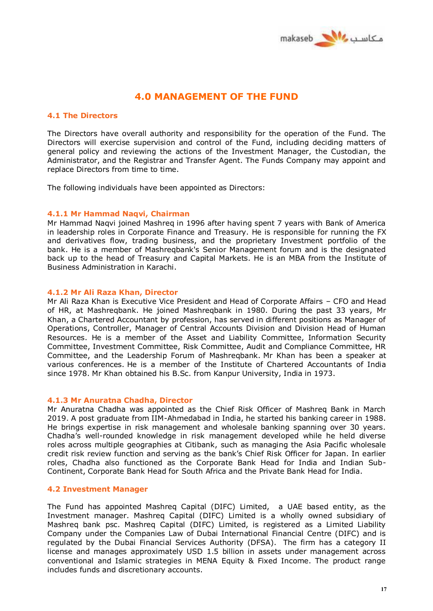

# **4.0 MANAGEMENT OF THE FUND**

## **4.1 The Directors**

The Directors have overall authority and responsibility for the operation of the Fund. The Directors will exercise supervision and control of the Fund, including deciding matters of general policy and reviewing the actions of the Investment Manager, the Custodian, the Administrator, and the Registrar and Transfer Agent. The Funds Company may appoint and replace Directors from time to time.

The following individuals have been appointed as Directors:

## **4.1.1 Mr Hammad Naqvi, Chairman**

Mr Hammad Naqvi joined Mashreq in 1996 after having spent 7 years with Bank of America in leadership roles in Corporate Finance and Treasury. He is responsible for running the FX and derivatives flow, trading business, and the proprietary Investment portfolio of the bank. He is a member of Mashreqbank's Senior Management forum and is the designated back up to the head of Treasury and Capital Markets. He is an MBA from the Institute of Business Administration in Karachi.

## **4.1.2 Mr Ali Raza Khan, Director**

Mr Ali Raza Khan is Executive Vice President and Head of Corporate Affairs – CFO and Head of HR, at Mashreqbank. He joined Mashreqbank in 1980. During the past 33 years, Mr Khan, a Chartered Accountant by profession, has served in different positions as Manager of Operations, Controller, Manager of Central Accounts Division and Division Head of Human Resources. He is a member of the Asset and Liability Committee, Information Security Committee, Investment Committee, Risk Committee, Audit and Compliance Committee, HR Committee, and the Leadership Forum of Mashreqbank. Mr Khan has been a speaker at various conferences. He is a member of the Institute of Chartered Accountants of India since 1978. Mr Khan obtained his B.Sc. from Kanpur University, India in 1973.

## **4.1.3 Mr Anuratna Chadha, Director**

Mr Anuratna Chadha was appointed as the Chief Risk Officer of Mashreq Bank in March 2019. A post graduate from IIM-Ahmedabad in India, he started his banking career in 1988. He brings expertise in risk management and wholesale banking spanning over 30 years. Chadha's well-rounded knowledge in risk management developed while he held diverse roles across multiple geographies at Citibank, such as managing the Asia Pacific wholesale credit risk review function and serving as the bank's Chief Risk Officer for Japan. In earlier roles, Chadha also functioned as the Corporate Bank Head for India and Indian Sub-Continent, Corporate Bank Head for South Africa and the Private Bank Head for India.

## **4.2 Investment Manager**

The Fund has appointed Mashreq Capital (DIFC) Limited, a UAE based entity, as the Investment manager. Mashreq Capital (DIFC) Limited is a wholly owned subsidiary of Mashreq bank psc. Mashreq Capital (DIFC) Limited, is registered as a Limited Liability Company under the Companies Law of Dubai International Financial Centre (DIFC) and is regulated by the Dubai Financial Services Authority (DFSA). The firm has a category II license and manages approximately USD 1.5 billion in assets under management across conventional and Islamic strategies in MENA Equity & Fixed Income. The product range includes funds and discretionary accounts.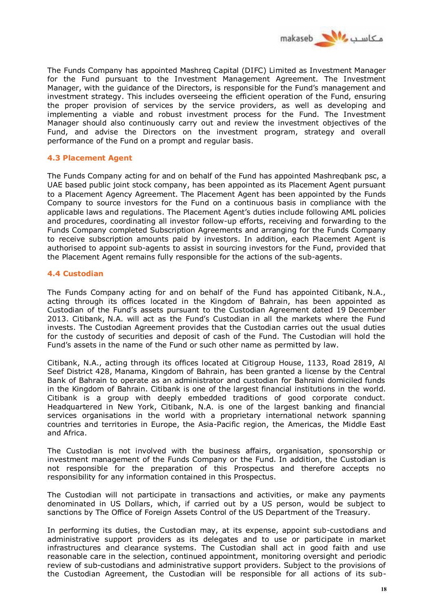

The Funds Company has appointed Mashreq Capital (DIFC) Limited as Investment Manager for the Fund pursuant to the Investment Management Agreement. The Investment Manager, with the guidance of the Directors, is responsible for the Fund's management and investment strategy. This includes overseeing the efficient operation of the Fund, ensuring the proper provision of services by the service providers, as well as developing and implementing a viable and robust investment process for the Fund. The Investment Manager should also continuously carry out and review the investment objectives of the Fund, and advise the Directors on the investment program, strategy and overall performance of the Fund on a prompt and regular basis.

## **4.3 Placement Agent**

The Funds Company acting for and on behalf of the Fund has appointed Mashreqbank psc, a UAE based public joint stock company, has been appointed as its Placement Agent pursuant to a Placement Agency Agreement. The Placement Agent has been appointed by the Funds Company to source investors for the Fund on a continuous basis in compliance with the applicable laws and regulations. The Placement Agent's duties include following AML policies and procedures, coordinating all investor follow-up efforts, receiving and forwarding to the Funds Company completed Subscription Agreements and arranging for the Funds Company to receive subscription amounts paid by investors. In addition, each Placement Agent is authorised to appoint sub-agents to assist in sourcing investors for the Fund, provided that the Placement Agent remains fully responsible for the actions of the sub-agents.

## **4.4 Custodian**

The Funds Company acting for and on behalf of the Fund has appointed Citibank, N.A., acting through its offices located in the Kingdom of Bahrain, has been appointed as Custodian of the Fund's assets pursuant to the Custodian Agreement dated 19 December 2013. Citibank, N.A. will act as the Fund's Custodian in all the markets where the Fund invests. The Custodian Agreement provides that the Custodian carries out the usual duties for the custody of securities and deposit of cash of the Fund. The Custodian will hold the Fund's assets in the name of the Fund or such other name as permitted by law.

Citibank, N.A., acting through its offices located at Citigroup House, 1133, Road 2819, Al Seef District 428, Manama, Kingdom of Bahrain, has been granted a license by the Central Bank of Bahrain to operate as an administrator and custodian for Bahraini domiciled funds in the Kingdom of Bahrain. Citibank is one of the largest financial institutions in the world. Citibank is a group with deeply embedded traditions of good corporate conduct. Headquartered in New York, Citibank, N.A. is one of the largest banking and financial services organisations in the world with a proprietary international network spanning countries and territories in Europe, the Asia-Pacific region, the Americas, the Middle East and Africa.

The Custodian is not involved with the business affairs, organisation, sponsorship or investment management of the Funds Company or the Fund. In addition, the Custodian is not responsible for the preparation of this Prospectus and therefore accepts no responsibility for any information contained in this Prospectus.

The Custodian will not participate in transactions and activities, or make any payments denominated in US Dollars, which, if carried out by a US person, would be subject to sanctions by The Office of Foreign Assets Control of the US Department of the Treasury.

In performing its duties, the Custodian may, at its expense, appoint sub-custodians and administrative support providers as its delegates and to use or participate in market infrastructures and clearance systems. The Custodian shall act in good faith and use reasonable care in the selection, continued appointment, monitoring oversight and periodic review of sub-custodians and administrative support providers. Subject to the provisions of the Custodian Agreement, the Custodian will be responsible for all actions of its sub-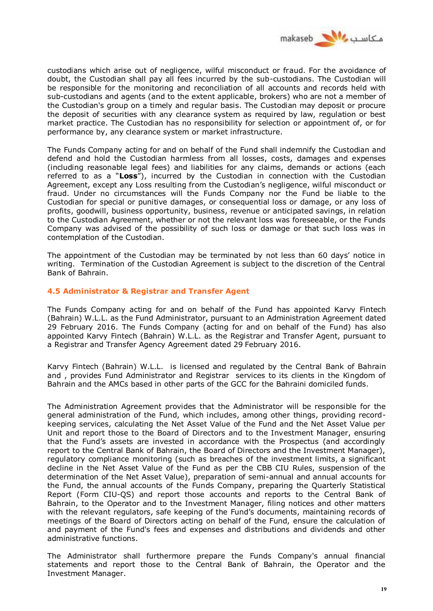

custodians which arise out of negligence, wilful misconduct or fraud. For the avoidance of doubt, the Custodian shall pay all fees incurred by the sub-custodians. The Custodian will be responsible for the monitoring and reconciliation of all accounts and records held with sub-custodians and agents (and to the extent applicable, brokers) who are not a member of the Custodian's group on a timely and regular basis. The Custodian may deposit or procure the deposit of securities with any clearance system as required by law, regulation or best market practice. The Custodian has no responsibility for selection or appointment of, or for performance by, any clearance system or market infrastructure.

The Funds Company acting for and on behalf of the Fund shall indemnify the Custodian and defend and hold the Custodian harmless from all losses, costs, damages and expenses (including reasonable legal fees) and liabilities for any claims, demands or actions (each referred to as a "**Loss**"), incurred by the Custodian in connection with the Custodian Agreement, except any Loss resulting from the Custodian's negligence, wilful misconduct or fraud. Under no circumstances will the Funds Company nor the Fund be liable to the Custodian for special or punitive damages, or consequential loss or damage, or any loss of profits, goodwill, business opportunity, business, revenue or anticipated savings, in relation to the Custodian Agreement, whether or not the relevant loss was foreseeable, or the Funds Company was advised of the possibility of such loss or damage or that such loss was in contemplation of the Custodian.

The appointment of the Custodian may be terminated by not less than 60 days' notice in writing. Termination of the Custodian Agreement is subject to the discretion of the Central Bank of Bahrain.

## **4.5 Administrator & Registrar and Transfer Agent**

The Funds Company acting for and on behalf of the Fund has appointed Karvy Fintech (Bahrain) W.L.L. as the Fund Administrator, pursuant to an Administration Agreement dated 29 February 2016. The Funds Company (acting for and on behalf of the Fund) has also appointed Karvy Fintech (Bahrain) W.L.L. as the Registrar and Transfer Agent, pursuant to a Registrar and Transfer Agency Agreement dated 29 February 2016.

Karvy Fintech (Bahrain) W.L.L. is licensed and regulated by the Central Bank of Bahrain and , provides Fund Administrator and Registrar services to its clients in the Kingdom of Bahrain and the AMCs based in other parts of the GCC for the Bahraini domiciled funds.

The Administration Agreement provides that the Administrator will be responsible for the general administration of the Fund, which includes, among other things, providing recordkeeping services, calculating the Net Asset Value of the Fund and the Net Asset Value per Unit and report those to the Board of Directors and to the Investment Manager, ensuring that the Fund's assets are invested in accordance with the Prospectus (and accordingly report to the Central Bank of Bahrain, the Board of Directors and the Investment Manager), regulatory compliance monitoring (such as breaches of the investment limits, a significant decline in the Net Asset Value of the Fund as per the CBB CIU Rules, suspension of the determination of the Net Asset Value), preparation of semi-annual and annual accounts for the Fund, the annual accounts of the Funds Company, preparing the Quarterly Statistical Report (Form CIU-QS) and report those accounts and reports to the Central Bank of Bahrain, to the Operator and to the Investment Manager, filing notices and other matters with the relevant regulators, safe keeping of the Fund's documents, maintaining records of meetings of the Board of Directors acting on behalf of the Fund, ensure the calculation of and payment of the Fund's fees and expenses and distributions and dividends and other administrative functions.

The Administrator shall furthermore prepare the Funds Company's annual financial statements and report those to the Central Bank of Bahrain, the Operator and the Investment Manager.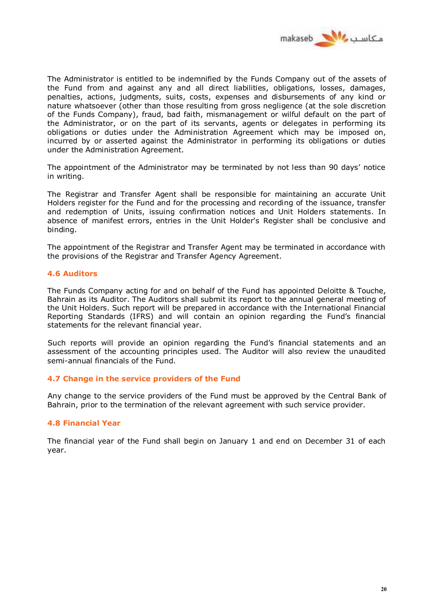

The Administrator is entitled to be indemnified by the Funds Company out of the assets of the Fund from and against any and all direct liabilities, obligations, losses, damages, penalties, actions, judgments, suits, costs, expenses and disbursements of any kind or nature whatsoever (other than those resulting from gross negligence (at the sole discretion of the Funds Company), fraud, bad faith, mismanagement or wilful default on the part of the Administrator, or on the part of its servants, agents or delegates in performing its obligations or duties under the Administration Agreement which may be imposed on, incurred by or asserted against the Administrator in performing its obligations or duties under the Administration Agreement.

The appointment of the Administrator may be terminated by not less than 90 days' notice in writing.

The Registrar and Transfer Agent shall be responsible for maintaining an accurate Unit Holders register for the Fund and for the processing and recording of the issuance, transfer and redemption of Units, issuing confirmation notices and Unit Holders statements. In absence of manifest errors, entries in the Unit Holder's Register shall be conclusive and binding.

The appointment of the Registrar and Transfer Agent may be terminated in accordance with the provisions of the Registrar and Transfer Agency Agreement.

#### **4.6 Auditors**

The Funds Company acting for and on behalf of the Fund has appointed Deloitte & Touche, Bahrain as its Auditor. The Auditors shall submit its report to the annual general meeting of the Unit Holders. Such report will be prepared in accordance with the International Financial Reporting Standards (IFRS) and will contain an opinion regarding the Fund's financial statements for the relevant financial year.

Such reports will provide an opinion regarding the Fund's financial statements and an assessment of the accounting principles used. The Auditor will also review the unaudited semi-annual financials of the Fund.

#### **4.7 Change in the service providers of the Fund**

Any change to the service providers of the Fund must be approved by the Central Bank of Bahrain, prior to the termination of the relevant agreement with such service provider.

## **4.8 Financial Year**

The financial year of the Fund shall begin on January 1 and end on December 31 of each year.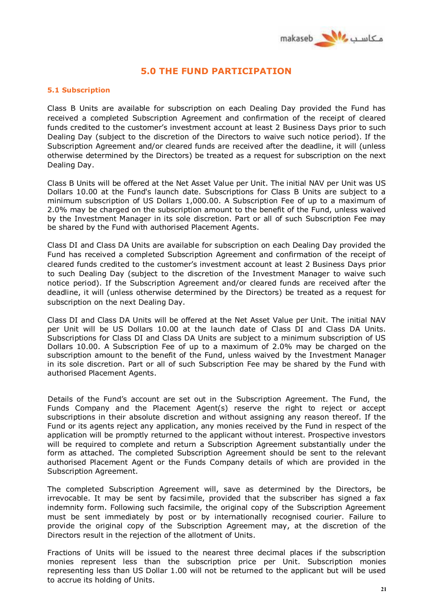

# **5.0 THE FUND PARTICIPATION**

#### **5.1 Subscription**

Class B Units are available for subscription on each Dealing Day provided the Fund has received a completed Subscription Agreement and confirmation of the receipt of cleared funds credited to the customer's investment account at least 2 Business Days prior to such Dealing Day (subject to the discretion of the Directors to waive such notice period). If the Subscription Agreement and/or cleared funds are received after the deadline, it will (unless otherwise determined by the Directors) be treated as a request for subscription on the next Dealing Day.

Class B Units will be offered at the Net Asset Value per Unit. The initial NAV per Unit was US Dollars 10.00 at the Fund's launch date. Subscriptions for Class B Units are subject to a minimum subscription of US Dollars 1,000.00. A Subscription Fee of up to a maximum of 2.0% may be charged on the subscription amount to the benefit of the Fund, unless waived by the Investment Manager in its sole discretion. Part or all of such Subscription Fee may be shared by the Fund with authorised Placement Agents.

Class DI and Class DA Units are available for subscription on each Dealing Day provided the Fund has received a completed Subscription Agreement and confirmation of the receipt of cleared funds credited to the customer's investment account at least 2 Business Days prior to such Dealing Day (subject to the discretion of the Investment Manager to waive such notice period). If the Subscription Agreement and/or cleared funds are received after the deadline, it will (unless otherwise determined by the Directors) be treated as a request for subscription on the next Dealing Day.

Class DI and Class DA Units will be offered at the Net Asset Value per Unit. The initial NAV per Unit will be US Dollars 10.00 at the launch date of Class DI and Class DA Units. Subscriptions for Class DI and Class DA Units are subject to a minimum subscription of US Dollars 10.00. A Subscription Fee of up to a maximum of 2.0% may be charged on the subscription amount to the benefit of the Fund, unless waived by the Investment Manager in its sole discretion. Part or all of such Subscription Fee may be shared by the Fund with authorised Placement Agents.

Details of the Fund's account are set out in the Subscription Agreement. The Fund, the Funds Company and the Placement Agent(s) reserve the right to reject or accept subscriptions in their absolute discretion and without assigning any reason thereof. If the Fund or its agents reject any application, any monies received by the Fund in respect of the application will be promptly returned to the applicant without interest. Prospective investors will be required to complete and return a Subscription Agreement substantially under the form as attached. The completed Subscription Agreement should be sent to the relevant authorised Placement Agent or the Funds Company details of which are provided in the Subscription Agreement.

The completed Subscription Agreement will, save as determined by the Directors, be irrevocable. It may be sent by facsimile, provided that the subscriber has signed a fax indemnity form. Following such facsimile, the original copy of the Subscription Agreement must be sent immediately by post or by internationally recognised courier. Failure to provide the original copy of the Subscription Agreement may, at the discretion of the Directors result in the rejection of the allotment of Units.

Fractions of Units will be issued to the nearest three decimal places if the subscription monies represent less than the subscription price per Unit. Subscription monies representing less than US Dollar 1.00 will not be returned to the applicant but will be used to accrue its holding of Units.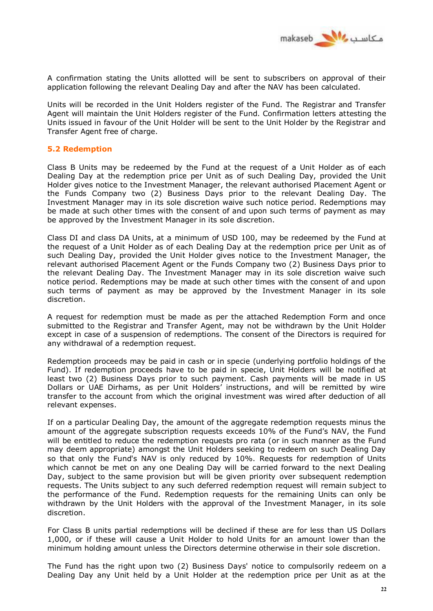

A confirmation stating the Units allotted will be sent to subscribers on approval of their application following the relevant Dealing Day and after the NAV has been calculated.

Units will be recorded in the Unit Holders register of the Fund. The Registrar and Transfer Agent will maintain the Unit Holders register of the Fund. Confirmation letters attesting the Units issued in favour of the Unit Holder will be sent to the Unit Holder by the Registrar and Transfer Agent free of charge.

## **5.2 Redemption**

Class B Units may be redeemed by the Fund at the request of a Unit Holder as of each Dealing Day at the redemption price per Unit as of such Dealing Day, provided the Unit Holder gives notice to the Investment Manager, the relevant authorised Placement Agent or the Funds Company two (2) Business Days prior to the relevant Dealing Day. The Investment Manager may in its sole discretion waive such notice period. Redemptions may be made at such other times with the consent of and upon such terms of payment as may be approved by the Investment Manager in its sole discretion.

Class DI and class DA Units, at a minimum of USD 100, may be redeemed by the Fund at the request of a Unit Holder as of each Dealing Day at the redemption price per Unit as of such Dealing Day, provided the Unit Holder gives notice to the Investment Manager, the relevant authorised Placement Agent or the Funds Company two (2) Business Days prior to the relevant Dealing Day. The Investment Manager may in its sole discretion waive such notice period. Redemptions may be made at such other times with the consent of and upon such terms of payment as may be approved by the Investment Manager in its sole discretion.

A request for redemption must be made as per the attached Redemption Form and once submitted to the Registrar and Transfer Agent, may not be withdrawn by the Unit Holder except in case of a suspension of redemptions. The consent of the Directors is required for any withdrawal of a redemption request.

Redemption proceeds may be paid in cash or in specie (underlying portfolio holdings of the Fund). If redemption proceeds have to be paid in specie, Unit Holders will be notified at least two (2) Business Days prior to such payment. Cash payments will be made in US Dollars or UAE Dirhams, as per Unit Holders' instructions, and will be remitted by wire transfer to the account from which the original investment was wired after deduction of all relevant expenses.

If on a particular Dealing Day, the amount of the aggregate redemption requests minus the amount of the aggregate subscription requests exceeds 10% of the Fund's NAV, the Fund will be entitled to reduce the redemption requests pro rata (or in such manner as the Fund may deem appropriate) amongst the Unit Holders seeking to redeem on such Dealing Day so that only the Fund's NAV is only reduced by 10%. Requests for redemption of Units which cannot be met on any one Dealing Day will be carried forward to the next Dealing Day, subject to the same provision but will be given priority over subsequent redemption requests. The Units subject to any such deferred redemption request will remain subject to the performance of the Fund. Redemption requests for the remaining Units can only be withdrawn by the Unit Holders with the approval of the Investment Manager, in its sole discretion.

For Class B units partial redemptions will be declined if these are for less than US Dollars 1,000, or if these will cause a Unit Holder to hold Units for an amount lower than the minimum holding amount unless the Directors determine otherwise in their sole discretion.

The Fund has the right upon two (2) Business Days' notice to compulsorily redeem on a Dealing Day any Unit held by a Unit Holder at the redemption price per Unit as at the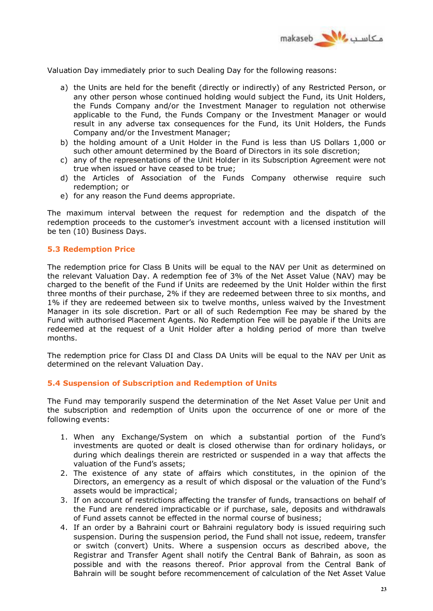

Valuation Day immediately prior to such Dealing Day for the following reasons:

- a) the Units are held for the benefit (directly or indirectly) of any Restricted Person, or any other person whose continued holding would subject the Fund, its Unit Holders, the Funds Company and/or the Investment Manager to regulation not otherwise applicable to the Fund, the Funds Company or the Investment Manager or would result in any adverse tax consequences for the Fund, its Unit Holders, the Funds Company and/or the Investment Manager;
- b) the holding amount of a Unit Holder in the Fund is less than US Dollars 1,000 or such other amount determined by the Board of Directors in its sole discretion;
- c) any of the representations of the Unit Holder in its Subscription Agreement were not true when issued or have ceased to be true;
- d) the Articles of Association of the Funds Company otherwise require such redemption; or
- e) for any reason the Fund deems appropriate.

The maximum interval between the request for redemption and the dispatch of the redemption proceeds to the customer's investment account with a licensed institution will be ten (10) Business Days.

#### **5.3 Redemption Price**

The redemption price for Class B Units will be equal to the NAV per Unit as determined on the relevant Valuation Day. A redemption fee of 3% of the Net Asset Value (NAV) may be charged to the benefit of the Fund if Units are redeemed by the Unit Holder within the first three months of their purchase, 2% if they are redeemed between three to six months, and 1% if they are redeemed between six to twelve months, unless waived by the Investment Manager in its sole discretion. Part or all of such Redemption Fee may be shared by the Fund with authorised Placement Agents. No Redemption Fee will be payable if the Units are redeemed at the request of a Unit Holder after a holding period of more than twelve months.

The redemption price for Class DI and Class DA Units will be equal to the NAV per Unit as determined on the relevant Valuation Day.

## **5.4 Suspension of Subscription and Redemption of Units**

The Fund may temporarily suspend the determination of the Net Asset Value per Unit and the subscription and redemption of Units upon the occurrence of one or more of the following events:

- 1. When any Exchange/System on which a substantial portion of the Fund's investments are quoted or dealt is closed otherwise than for ordinary holidays, or during which dealings therein are restricted or suspended in a way that affects the valuation of the Fund's assets;
- 2. The existence of any state of affairs which constitutes, in the opinion of the Directors, an emergency as a result of which disposal or the valuation of the Fund's assets would be impractical;
- 3. If on account of restrictions affecting the transfer of funds, transactions on behalf of the Fund are rendered impracticable or if purchase, sale, deposits and withdrawals of Fund assets cannot be effected in the normal course of business;
- 4. If an order by a Bahraini court or Bahraini regulatory body is issued requiring such suspension. During the suspension period, the Fund shall not issue, redeem, transfer or switch (convert) Units. Where a suspension occurs as described above, the Registrar and Transfer Agent shall notify the Central Bank of Bahrain, as soon as possible and with the reasons thereof. Prior approval from the Central Bank of Bahrain will be sought before recommencement of calculation of the Net Asset Value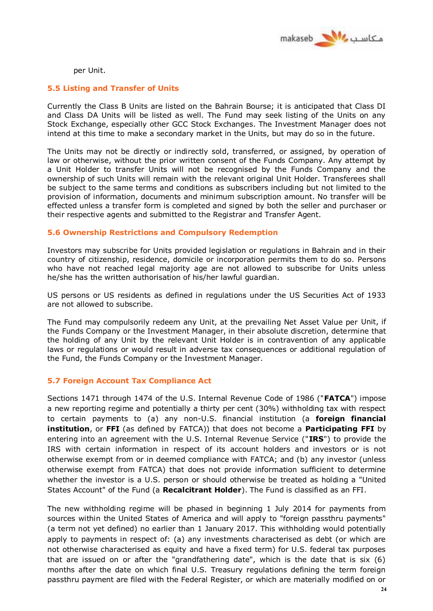

per Unit.

## **5.5 Listing and Transfer of Units**

Currently the Class B Units are listed on the Bahrain Bourse; it is anticipated that Class DI and Class DA Units will be listed as well. The Fund may seek listing of the Units on any Stock Exchange, especially other GCC Stock Exchanges. The Investment Manager does not intend at this time to make a secondary market in the Units, but may do so in the future.

The Units may not be directly or indirectly sold, transferred, or assigned, by operation of law or otherwise, without the prior written consent of the Funds Company. Any attempt by a Unit Holder to transfer Units will not be recognised by the Funds Company and the ownership of such Units will remain with the relevant original Unit Holder. Transferees shall be subject to the same terms and conditions as subscribers including but not limited to the provision of information, documents and minimum subscription amount. No transfer will be effected unless a transfer form is completed and signed by both the seller and purchaser or their respective agents and submitted to the Registrar and Transfer Agent.

## **5.6 Ownership Restrictions and Compulsory Redemption**

Investors may subscribe for Units provided legislation or regulations in Bahrain and in their country of citizenship, residence, domicile or incorporation permits them to do so. Persons who have not reached legal majority age are not allowed to subscribe for Units unless he/she has the written authorisation of his/her lawful guardian.

US persons or US residents as defined in regulations under the US Securities Act of 1933 are not allowed to subscribe.

The Fund may compulsorily redeem any Unit, at the prevailing Net Asset Value per Unit, if the Funds Company or the Investment Manager, in their absolute discretion, determine that the holding of any Unit by the relevant Unit Holder is in contravention of any applicable laws or regulations or would result in adverse tax consequences or additional regulation of the Fund, the Funds Company or the Investment Manager.

## **5.7 Foreign Account Tax Compliance Act**

Sections 1471 through 1474 of the U.S. Internal Revenue Code of 1986 ("**FATCA**") impose a new reporting regime and potentially a thirty per cent (30%) withholding tax with respect to certain payments to (a) any non-U.S. financial institution (a **foreign financial institution**, or **FFI** (as defined by FATCA)) that does not become a **Participating FFI** by entering into an agreement with the U.S. Internal Revenue Service ("**IRS**") to provide the IRS with certain information in respect of its account holders and investors or is not otherwise exempt from or in deemed compliance with FATCA; and (b) any investor (unless otherwise exempt from FATCA) that does not provide information sufficient to determine whether the investor is a U.S. person or should otherwise be treated as holding a "United States Account" of the Fund (a **Recalcitrant Holder**). The Fund is classified as an FFI.

The new withholding regime will be phased in beginning 1 July 2014 for payments from sources within the United States of America and will apply to "foreign passthru payments" (a term not yet defined) no earlier than 1 January 2017. This withholding would potentially apply to payments in respect of: (a) any investments characterised as debt (or which are not otherwise characterised as equity and have a fixed term) for U.S. federal tax purposes that are issued on or after the "grandfathering date", which is the date that is six (6) months after the date on which final U.S. Treasury regulations defining the term foreign passthru payment are filed with the Federal Register, or which are materially modified on or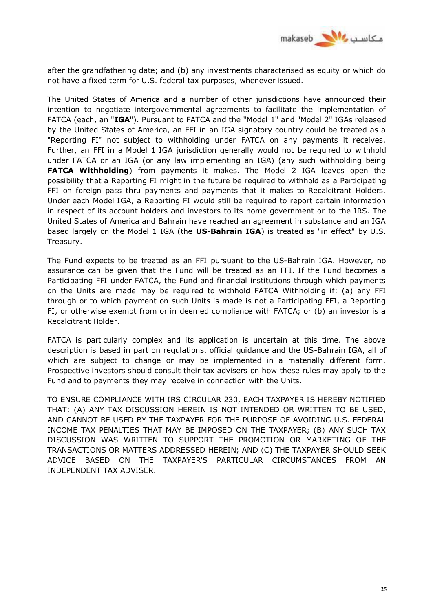

after the grandfathering date; and (b) any investments characterised as equity or which do not have a fixed term for U.S. federal tax purposes, whenever issued.

The United States of America and a number of other jurisdictions have announced their intention to negotiate intergovernmental agreements to facilitate the implementation of FATCA (each, an "**IGA**"). Pursuant to FATCA and the "Model 1" and "Model 2" IGAs released by the United States of America, an FFI in an IGA signatory country could be treated as a "Reporting FI" not subject to withholding under FATCA on any payments it receives. Further, an FFI in a Model 1 IGA jurisdiction generally would not be required to withhold under FATCA or an IGA (or any law implementing an IGA) (any such withholding being **FATCA Withholding**) from payments it makes. The Model 2 IGA leaves open the possibility that a Reporting FI might in the future be required to withhold as a Participating FFI on foreign pass thru payments and payments that it makes to Recalcitrant Holders. Under each Model IGA, a Reporting FI would still be required to report certain information in respect of its account holders and investors to its home government or to the IRS. The United States of America and Bahrain have reached an agreement in substance and an IGA based largely on the Model 1 IGA (the **US-Bahrain IGA**) is treated as "in effect" by U.S. Treasury.

The Fund expects to be treated as an FFI pursuant to the US-Bahrain IGA. However, no assurance can be given that the Fund will be treated as an FFI. If the Fund becomes a Participating FFI under FATCA, the Fund and financial institutions through which payments on the Units are made may be required to withhold FATCA Withholding if: (a) any FFI through or to which payment on such Units is made is not a Participating FFI, a Reporting FI, or otherwise exempt from or in deemed compliance with FATCA; or (b) an investor is a Recalcitrant Holder.

FATCA is particularly complex and its application is uncertain at this time. The above description is based in part on regulations, official guidance and the US-Bahrain IGA, all of which are subject to change or may be implemented in a materially different form. Prospective investors should consult their tax advisers on how these rules may apply to the Fund and to payments they may receive in connection with the Units.

TO ENSURE COMPLIANCE WITH IRS CIRCULAR 230, EACH TAXPAYER IS HEREBY NOTIFIED THAT: (A) ANY TAX DISCUSSION HEREIN IS NOT INTENDED OR WRITTEN TO BE USED, AND CANNOT BE USED BY THE TAXPAYER FOR THE PURPOSE OF AVOIDING U.S. FEDERAL INCOME TAX PENALTIES THAT MAY BE IMPOSED ON THE TAXPAYER; (B) ANY SUCH TAX DISCUSSION WAS WRITTEN TO SUPPORT THE PROMOTION OR MARKETING OF THE TRANSACTIONS OR MATTERS ADDRESSED HEREIN; AND (C) THE TAXPAYER SHOULD SEEK ADVICE BASED ON THE TAXPAYER'S PARTICULAR CIRCUMSTANCES FROM AN INDEPENDENT TAX ADVISER.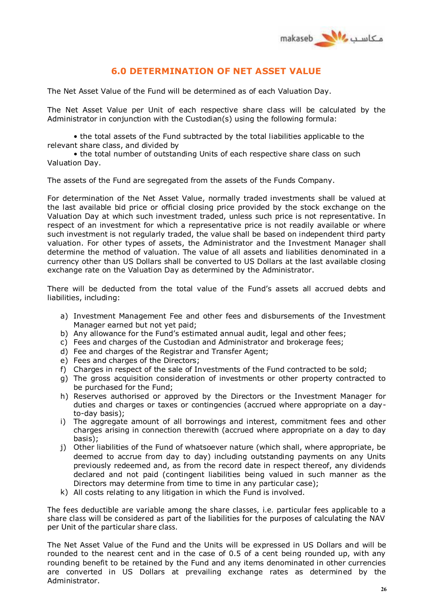

# **6.0 DETERMINATION OF NET ASSET VALUE**

The Net Asset Value of the Fund will be determined as of each Valuation Day.

The Net Asset Value per Unit of each respective share class will be calculated by the Administrator in conjunction with the Custodian(s) using the following formula:

• the total assets of the Fund subtracted by the total liabilities applicable to the relevant share class, and divided by

• the total number of outstanding Units of each respective share class on such Valuation Day.

The assets of the Fund are segregated from the assets of the Funds Company.

For determination of the Net Asset Value, normally traded investments shall be valued at the last available bid price or official closing price provided by the stock exchange on the Valuation Day at which such investment traded, unless such price is not representative. In respect of an investment for which a representative price is not readily available or where such investment is not regularly traded, the value shall be based on independent third party valuation. For other types of assets, the Administrator and the Investment Manager shall determine the method of valuation. The value of all assets and liabilities denominated in a currency other than US Dollars shall be converted to US Dollars at the last available closing exchange rate on the Valuation Day as determined by the Administrator.

There will be deducted from the total value of the Fund's assets all accrued debts and liabilities, including:

- a) Investment Management Fee and other fees and disbursements of the Investment Manager earned but not yet paid;
- b) Any allowance for the Fund's estimated annual audit, legal and other fees;
- c) Fees and charges of the Custodian and Administrator and brokerage fees;
- d) Fee and charges of the Registrar and Transfer Agent;
- e) Fees and charges of the Directors;
- f) Charges in respect of the sale of Investments of the Fund contracted to be sold;
- g) The gross acquisition consideration of investments or other property contracted to be purchased for the Fund;
- h) Reserves authorised or approved by the Directors or the Investment Manager for duties and charges or taxes or contingencies (accrued where appropriate on a dayto-day basis);
- i) The aggregate amount of all borrowings and interest, commitment fees and other charges arising in connection therewith (accrued where appropriate on a day to day basis);
- j) Other liabilities of the Fund of whatsoever nature (which shall, where appropriate, be deemed to accrue from day to day) including outstanding payments on any Units previously redeemed and, as from the record date in respect thereof, any dividends declared and not paid (contingent liabilities being valued in such manner as the Directors may determine from time to time in any particular case);
- k) All costs relating to any litigation in which the Fund is involved.

The fees deductible are variable among the share classes, i.e. particular fees applicable to a share class will be considered as part of the liabilities for the purposes of calculating the NAV per Unit of the particular share class.

The Net Asset Value of the Fund and the Units will be expressed in US Dollars and will be rounded to the nearest cent and in the case of 0.5 of a cent being rounded up, with any rounding benefit to be retained by the Fund and any items denominated in other currencies are converted in US Dollars at prevailing exchange rates as determined by the Administrator.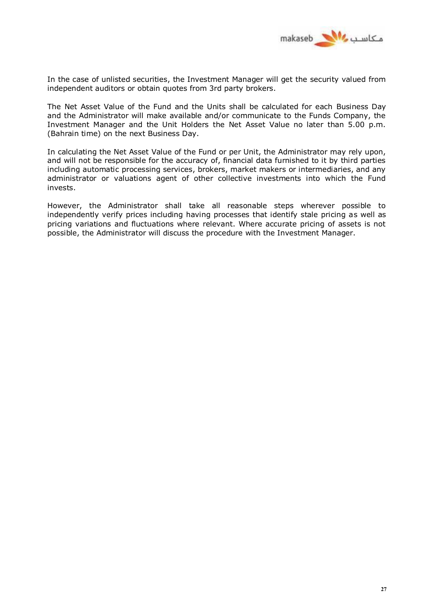

In the case of unlisted securities, the Investment Manager will get the security valued from independent auditors or obtain quotes from 3rd party brokers.

The Net Asset Value of the Fund and the Units shall be calculated for each Business Day and the Administrator will make available and/or communicate to the Funds Company, the Investment Manager and the Unit Holders the Net Asset Value no later than 5.00 p.m. (Bahrain time) on the next Business Day.

In calculating the Net Asset Value of the Fund or per Unit, the Administrator may rely upon, and will not be responsible for the accuracy of, financial data furnished to it by third parties including automatic processing services, brokers, market makers or intermediaries, and any administrator or valuations agent of other collective investments into which the Fund invests.

However, the Administrator shall take all reasonable steps wherever possible to independently verify prices including having processes that identify stale pricing as well as pricing variations and fluctuations where relevant. Where accurate pricing of assets is not possible, the Administrator will discuss the procedure with the Investment Manager.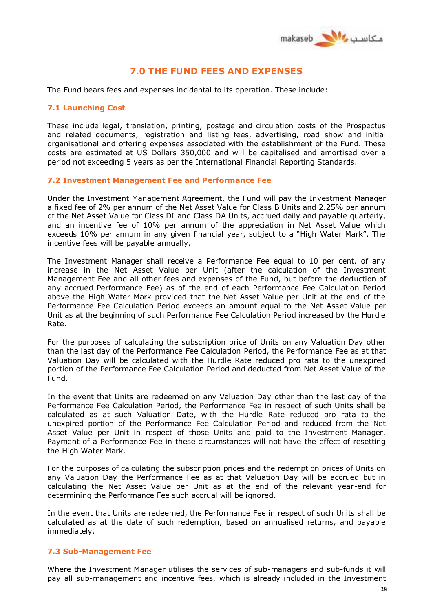

# **7.0 THE FUND FEES AND EXPENSES**

The Fund bears fees and expenses incidental to its operation. These include:

## **7.1 Launching Cost**

These include legal, translation, printing, postage and circulation costs of the Prospectus and related documents, registration and listing fees, advertising, road show and initial organisational and offering expenses associated with the establishment of the Fund. These costs are estimated at US Dollars 350,000 and will be capitalised and amortised over a period not exceeding 5 years as per the International Financial Reporting Standards.

#### **7.2 Investment Management Fee and Performance Fee**

Under the Investment Management Agreement, the Fund will pay the Investment Manager a fixed fee of 2% per annum of the Net Asset Value for Class B Units and 2.25% per annum of the Net Asset Value for Class DI and Class DA Units, accrued daily and payable quarterly, and an incentive fee of 10% per annum of the appreciation in Net Asset Value which exceeds 10% per annum in any given financial year, subject to a "High Water Mark". The incentive fees will be payable annually.

The Investment Manager shall receive a Performance Fee equal to 10 per cent. of any increase in the Net Asset Value per Unit (after the calculation of the Investment Management Fee and all other fees and expenses of the Fund, but before the deduction of any accrued Performance Fee) as of the end of each Performance Fee Calculation Period above the High Water Mark provided that the Net Asset Value per Unit at the end of the Performance Fee Calculation Period exceeds an amount equal to the Net Asset Value per Unit as at the beginning of such Performance Fee Calculation Period increased by the Hurdle Rate.

For the purposes of calculating the subscription price of Units on any Valuation Day other than the last day of the Performance Fee Calculation Period, the Performance Fee as at that Valuation Day will be calculated with the Hurdle Rate reduced pro rata to the unexpired portion of the Performance Fee Calculation Period and deducted from Net Asset Value of the Fund.

In the event that Units are redeemed on any Valuation Day other than the last day of the Performance Fee Calculation Period, the Performance Fee in respect of such Units shall be calculated as at such Valuation Date, with the Hurdle Rate reduced pro rata to the unexpired portion of the Performance Fee Calculation Period and reduced from the Net Asset Value per Unit in respect of those Units and paid to the Investment Manager. Payment of a Performance Fee in these circumstances will not have the effect of resetting the High Water Mark.

For the purposes of calculating the subscription prices and the redemption prices of Units on any Valuation Day the Performance Fee as at that Valuation Day will be accrued but in calculating the Net Asset Value per Unit as at the end of the relevant year-end for determining the Performance Fee such accrual will be ignored.

In the event that Units are redeemed, the Performance Fee in respect of such Units shall be calculated as at the date of such redemption, based on annualised returns, and payable immediately.

## **7.3 Sub-Management Fee**

Where the Investment Manager utilises the services of sub-managers and sub-funds it will pay all sub-management and incentive fees, which is already included in the Investment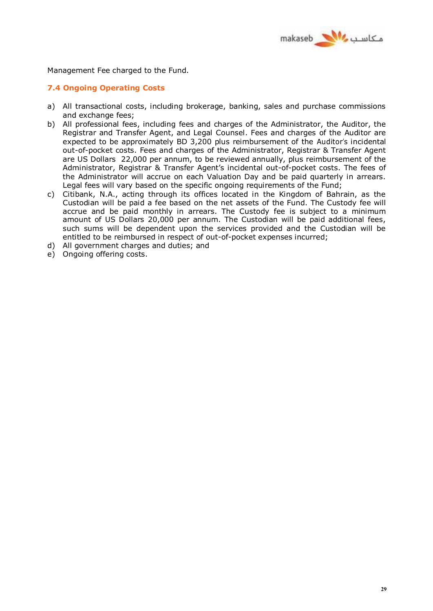

Management Fee charged to the Fund.

## **7.4 Ongoing Operating Costs**

- a) All transactional costs, including brokerage, banking, sales and purchase commissions and exchange fees;
- b) All professional fees, including fees and charges of the Administrator, the Auditor, the Registrar and Transfer Agent, and Legal Counsel. Fees and charges of the Auditor are expected to be approximately BD 3,200 plus reimbursement of the Auditor's incidental out-of-pocket costs. Fees and charges of the Administrator, Registrar & Transfer Agent are US Dollars 22,000 per annum, to be reviewed annually, plus reimbursement of the Administrator, Registrar & Transfer Agent's incidental out-of-pocket costs. The fees of the Administrator will accrue on each Valuation Day and be paid quarterly in arrears. Legal fees will vary based on the specific ongoing requirements of the Fund;
- c) Citibank, N.A., acting through its offices located in the Kingdom of Bahrain, as the Custodian will be paid a fee based on the net assets of the Fund. The Custody fee will accrue and be paid monthly in arrears. The Custody fee is subject to a minimum amount of US Dollars 20,000 per annum. The Custodian will be paid additional fees, such sums will be dependent upon the services provided and the Custodian will be entitled to be reimbursed in respect of out-of-pocket expenses incurred;
- d) All government charges and duties; and
- e) Ongoing offering costs.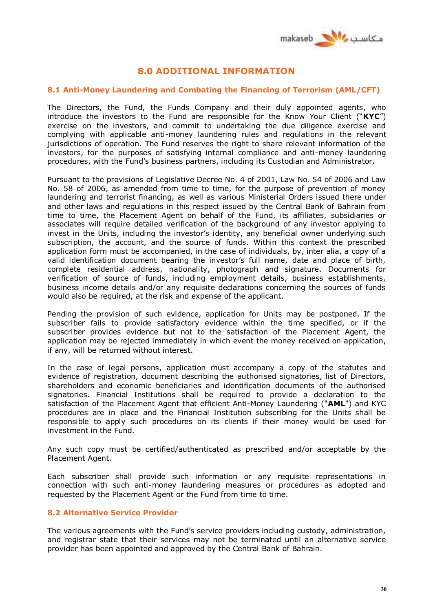

# **8.0 ADDITIONAL INFORMATION**

## **8.1 Anti-Money Laundering and Combating the Financing of Terrorism (AML/CFT)**

The Directors, the Fund, the Funds Company and their duly appointed agents, who introduce the investors to the Fund are responsible for the Know Your Client ("**KYC**") exercise on the investors, and commit to undertaking the due diligence exercise and complying with applicable anti-money laundering rules and regulations in the relevant jurisdictions of operation. The Fund reserves the right to share relevant information of the investors, for the purposes of satisfying internal compliance and anti-money laundering procedures, with the Fund's business partners, including its Custodian and Administrator.

Pursuant to the provisions of Legislative Decree No. 4 of 2001, Law No. 54 of 2006 and Law No. 58 of 2006, as amended from time to time, for the purpose of prevention of money laundering and terrorist financing, as well as various Ministerial Orders issued there under and other laws and regulations in this respect issued by the Central Bank of Bahrain from time to time, the Placement Agent on behalf of the Fund, its affiliates, subsidiaries or associates will require detailed verification of the background of any investor applying to invest in the Units, including the investor's identity, any beneficial owner underlying such subscription, the account, and the source of funds. Within this context the prescribed application form must be accompanied, in the case of individuals, by, inter alia, a copy of a valid identification document bearing the investor's full name, date and place of birth, complete residential address, nationality, photograph and signature. Documents for verification of source of funds, including employment details, business establishments, business income details and/or any requisite declarations concerning the sources of funds would also be required, at the risk and expense of the applicant.

Pending the provision of such evidence, application for Units may be postponed. If the subscriber fails to provide satisfactory evidence within the time specified, or if the subscriber provides evidence but not to the satisfaction of the Placement Agent, the application may be rejected immediately in which event the money received on application, if any, will be returned without interest.

In the case of legal persons, application must accompany a copy of the statutes and evidence of registration, document describing the authorised signatories, list of Directors, shareholders and economic beneficiaries and identification documents of the authorised signatories. Financial Institutions shall be required to provide a declaration to the satisfaction of the Placement Agent that efficient Anti-Money Laundering ("**AML**") and KYC procedures are in place and the Financial Institution subscribing for the Units shall be responsible to apply such procedures on its clients if their money would be used for investment in the Fund.

Any such copy must be certified/authenticated as prescribed and/or acceptable by the Placement Agent.

Each subscriber shall provide such information or any requisite representations in connection with such anti-money laundering measures or procedures as adopted and requested by the Placement Agent or the Fund from time to time.

## **8.2 Alternative Service Provider**

The various agreements with the Fund's service providers including custody, administration, and registrar state that their services may not be terminated until an alternative service provider has been appointed and approved by the Central Bank of Bahrain.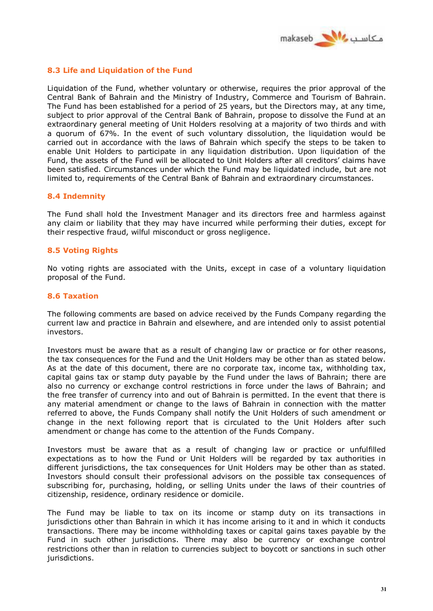

## **8.3 Life and Liquidation of the Fund**

Liquidation of the Fund, whether voluntary or otherwise, requires the prior approval of the Central Bank of Bahrain and the Ministry of Industry, Commerce and Tourism of Bahrain. The Fund has been established for a period of 25 years, but the Directors may, at any time, subject to prior approval of the Central Bank of Bahrain, propose to dissolve the Fund at an extraordinary general meeting of Unit Holders resolving at a majority of two thirds and with a quorum of 67%. In the event of such voluntary dissolution, the liquidation would be carried out in accordance with the laws of Bahrain which specify the steps to be taken to enable Unit Holders to participate in any liquidation distribution. Upon liquidation of the Fund, the assets of the Fund will be allocated to Unit Holders after all creditors' claims have been satisfied. Circumstances under which the Fund may be liquidated include, but are not limited to, requirements of the Central Bank of Bahrain and extraordinary circumstances.

## **8.4 Indemnity**

The Fund shall hold the Investment Manager and its directors free and harmless against any claim or liability that they may have incurred while performing their duties, except for their respective fraud, wilful misconduct or gross negligence.

## **8.5 Voting Rights**

No voting rights are associated with the Units, except in case of a voluntary liquidation proposal of the Fund.

#### **8.6 Taxation**

The following comments are based on advice received by the Funds Company regarding the current law and practice in Bahrain and elsewhere, and are intended only to assist potential investors.

Investors must be aware that as a result of changing law or practice or for other reasons, the tax consequences for the Fund and the Unit Holders may be other than as stated below. As at the date of this document, there are no corporate tax, income tax, withholding tax, capital gains tax or stamp duty payable by the Fund under the laws of Bahrain; there are also no currency or exchange control restrictions in force under the laws of Bahrain; and the free transfer of currency into and out of Bahrain is permitted. In the event that there is any material amendment or change to the laws of Bahrain in connection with the matter referred to above, the Funds Company shall notify the Unit Holders of such amendment or change in the next following report that is circulated to the Unit Holders after such amendment or change has come to the attention of the Funds Company.

Investors must be aware that as a result of changing law or practice or unfulfilled expectations as to how the Fund or Unit Holders will be regarded by tax authorities in different jurisdictions, the tax consequences for Unit Holders may be other than as stated. Investors should consult their professional advisors on the possible tax consequences of subscribing for, purchasing, holding, or selling Units under the laws of their countries of citizenship, residence, ordinary residence or domicile.

The Fund may be liable to tax on its income or stamp duty on its transactions in jurisdictions other than Bahrain in which it has income arising to it and in which it conducts transactions. There may be income withholding taxes or capital gains taxes payable by the Fund in such other jurisdictions. There may also be currency or exchange control restrictions other than in relation to currencies subject to boycott or sanctions in such other jurisdictions.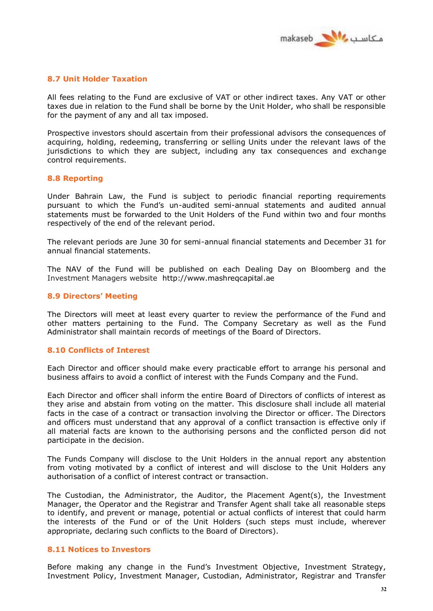

## **8.7 Unit Holder Taxation**

All fees relating to the Fund are exclusive of VAT or other indirect taxes. Any VAT or other taxes due in relation to the Fund shall be borne by the Unit Holder, who shall be responsible for the payment of any and all tax imposed.

Prospective investors should ascertain from their professional advisors the consequences of acquiring, holding, redeeming, transferring or selling Units under the relevant laws of the jurisdictions to which they are subject, including any tax consequences and exchange control requirements.

## **8.8 Reporting**

Under Bahrain Law, the Fund is subject to periodic financial reporting requirements pursuant to which the Fund's un-audited semi-annual statements and audited annual statements must be forwarded to the Unit Holders of the Fund within two and four months respectively of the end of the relevant period.

The relevant periods are June 30 for semi-annual financial statements and December 31 for annual financial statements.

The NAV of the Fund will be published on each Dealing Day on Bloomberg and the Investment Managers website http://www.mashreqcapital.ae

#### **8.9 Directors' Meeting**

The Directors will meet at least every quarter to review the performance of the Fund and other matters pertaining to the Fund. The Company Secretary as well as the Fund Administrator shall maintain records of meetings of the Board of Directors.

## **8.10 Conflicts of Interest**

Each Director and officer should make every practicable effort to arrange his personal and business affairs to avoid a conflict of interest with the Funds Company and the Fund.

Each Director and officer shall inform the entire Board of Directors of conflicts of interest as they arise and abstain from voting on the matter. This disclosure shall include all material facts in the case of a contract or transaction involving the Director or officer. The Directors and officers must understand that any approval of a conflict transaction is effective only if all material facts are known to the authorising persons and the conflicted person did not participate in the decision.

The Funds Company will disclose to the Unit Holders in the annual report any abstention from voting motivated by a conflict of interest and will disclose to the Unit Holders any authorisation of a conflict of interest contract or transaction.

The Custodian, the Administrator, the Auditor, the Placement Agent(s), the Investment Manager, the Operator and the Registrar and Transfer Agent shall take all reasonable steps to identify, and prevent or manage, potential or actual conflicts of interest that could harm the interests of the Fund or of the Unit Holders (such steps must include, wherever appropriate, declaring such conflicts to the Board of Directors).

## **8.11 Notices to Investors**

Before making any change in the Fund's Investment Objective, Investment Strategy, Investment Policy, Investment Manager, Custodian, Administrator, Registrar and Transfer